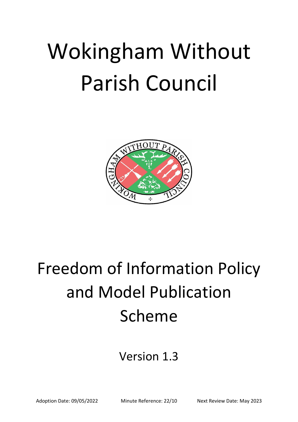# Wokingham Without Parish Council



## Freedom of Information Policy and Model Publication Scheme

### Version 1.3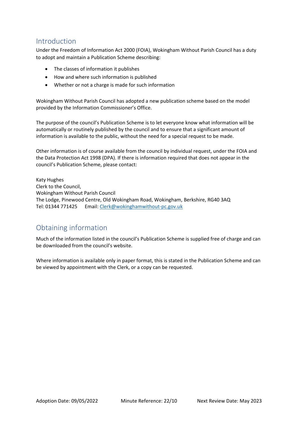#### Introduction

Under the Freedom of Information Act 2000 (FOIA), Wokingham Without Parish Council has a duty to adopt and maintain a Publication Scheme describing:

- The classes of information it publishes
- How and where such information is published
- Whether or not a charge is made for such information

Wokingham Without Parish Council has adopted a new publication scheme based on the model provided by the Information Commissioner's Office.

The purpose of the council's Publication Scheme is to let everyone know what information will be automatically or routinely published by the council and to ensure that a significant amount of information is available to the public, without the need for a special request to be made.

Other information is of course available from the council by individual request, under the FOIA and the Data Protection Act 1998 (DPA). If there is information required that does not appear in the council's Publication Scheme, please contact:

Katy Hughes Clerk to the Council, Wokingham Without Parish Council The Lodge, Pinewood Centre, Old Wokingham Road, Wokingham, Berkshire, RG40 3AQ Tel: 01344 771425 Email: [Clerk@wokinghamwithout-pc.gov.uk](mailto:Clerk@wokinghamwithout-pc.gov.uk)

#### Obtaining information

Much of the information listed in the council's Publication Scheme is supplied free of charge and can be downloaded from the council's website.

Where information is available only in paper format, this is stated in the Publication Scheme and can be viewed by appointment with the Clerk, or a copy can be requested.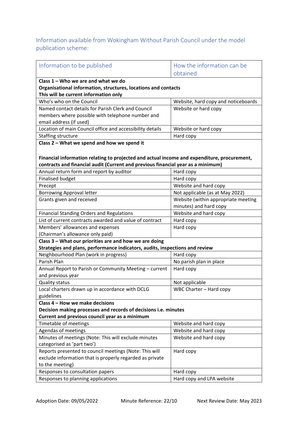#### Information available from Wokingham Without Parish Council under the model publication scheme:

| Information to be published                                                                             | How the information can be          |  |
|---------------------------------------------------------------------------------------------------------|-------------------------------------|--|
|                                                                                                         | obtained                            |  |
| Class $1 -$ Who we are and what we do                                                                   |                                     |  |
| Organisational information, structures, locations and contacts<br>This will be current information only |                                     |  |
| Who's who on the Council                                                                                | Website, hard copy and noticeboards |  |
| Named contact details for Parish Clerk and Council                                                      | Website or hard copy                |  |
| members where possible with telephone number and                                                        |                                     |  |
| email address (if used)                                                                                 |                                     |  |
| Location of main Council office and accessibility details                                               | Website or hard copy                |  |
| Staffing structure                                                                                      | Hard copy                           |  |
| Class 2 - What we spend and how we spend it                                                             |                                     |  |
|                                                                                                         |                                     |  |
| Financial information relating to projected and actual income and expenditure, procurement,             |                                     |  |
| contracts and financial audit (Current and previous financial year as a minimum)                        |                                     |  |
| Annual return form and report by auditor                                                                | Hard copy                           |  |
| <b>Finalised budget</b>                                                                                 | Hard copy                           |  |
| Precept                                                                                                 | Website and hard copy               |  |
| <b>Borrowing Approval letter</b>                                                                        | Not applicable (as at May 2022)     |  |
| Grants given and received                                                                               | Website (within appropriate meeting |  |
|                                                                                                         | minutes) and hard copy              |  |
| <b>Financial Standing Orders and Regulations</b>                                                        | Website and hard copy               |  |
| List of current contracts awarded and value of contract                                                 | Hard copy                           |  |
| Members' allowances and expenses                                                                        | Hard copy                           |  |
| (Chairman's allowance only paid)                                                                        |                                     |  |
| Class 3 - What our priorities are and how we are doing                                                  |                                     |  |
| Strategies and plans, performance indicators, audits, inspections and review                            |                                     |  |
| Neighbourhood Plan (work in progress)                                                                   | Hard copy                           |  |
| Parish Plan                                                                                             | No parish plan in place             |  |
| Annual Report to Parish or Community Meeting - current                                                  | Hard copy                           |  |
| and previous year                                                                                       |                                     |  |
| <b>Quality status</b>                                                                                   | Not applicable                      |  |
| Local charters drawn up in accordance with DCLG                                                         | WBC Charter - Hard copy             |  |
| guidelines<br>Class 4 - How we make decisions                                                           |                                     |  |
| Decision making processes and records of decisions i.e. minutes                                         |                                     |  |
| Current and previous council year as a minimum                                                          |                                     |  |
| Timetable of meetings                                                                                   | Website and hard copy               |  |
| Agendas of meetings                                                                                     | Website and hard copy               |  |
| Minutes of meetings (Note: This will exclude minutes                                                    | Website and hard copy               |  |
| categorised as 'part two')                                                                              |                                     |  |
| Reports presented to council meetings (Note: This will                                                  | Hard copy                           |  |
| exclude information that is properly regarded as private                                                |                                     |  |
| to the meeting)                                                                                         |                                     |  |
| Responses to consultation papers                                                                        | Hard copy                           |  |
| Responses to planning applications                                                                      | Hard copy and LPA website           |  |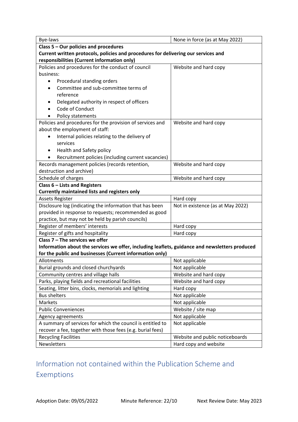| Bye-laws                                                                                       | None in force (as at May 2022)    |  |
|------------------------------------------------------------------------------------------------|-----------------------------------|--|
| Class 5 - Our policies and procedures                                                          |                                   |  |
| Current written protocols, policies and procedures for delivering our services and             |                                   |  |
| responsibilities (Current information only)                                                    |                                   |  |
| Policies and procedures for the conduct of council                                             | Website and hard copy             |  |
| business:                                                                                      |                                   |  |
| Procedural standing orders<br>٠                                                                |                                   |  |
| Committee and sub-committee terms of                                                           |                                   |  |
| reference                                                                                      |                                   |  |
| Delegated authority in respect of officers                                                     |                                   |  |
| Code of Conduct                                                                                |                                   |  |
| Policy statements                                                                              |                                   |  |
| Policies and procedures for the provision of services and                                      | Website and hard copy             |  |
| about the employment of staff:                                                                 |                                   |  |
| Internal policies relating to the delivery of<br>٠                                             |                                   |  |
| services                                                                                       |                                   |  |
| Health and Safety policy<br>٠                                                                  |                                   |  |
| Recruitment policies (including current vacancies)                                             |                                   |  |
| Records management policies (records retention,                                                | Website and hard copy             |  |
| destruction and archive)                                                                       |                                   |  |
| Schedule of charges                                                                            | Website and hard copy             |  |
| Class 6 - Lists and Registers                                                                  |                                   |  |
| <b>Currently maintained lists and registers only</b>                                           |                                   |  |
| <b>Assets Register</b>                                                                         | Hard copy                         |  |
| Disclosure log (indicating the information that has been                                       | Not in existence (as at May 2022) |  |
| provided in response to requests; recommended as good                                          |                                   |  |
| practice, but may not be held by parish councils)                                              |                                   |  |
| Register of members' interests                                                                 | Hard copy                         |  |
| Register of gifts and hospitality                                                              | Hard copy                         |  |
| Class $7$ – The services we offer                                                              |                                   |  |
| Information about the services we offer, including leaflets, guidance and newsletters produced |                                   |  |
| for the public and businesses (Current information only)                                       |                                   |  |
| Allotments                                                                                     | Not applicable                    |  |
| Burial grounds and closed churchyards                                                          | Not applicable                    |  |
| Community centres and village halls                                                            | Website and hard copy             |  |
| Parks, playing fields and recreational facilities                                              | Website and hard copy             |  |
| Seating, litter bins, clocks, memorials and lighting                                           | Hard copy                         |  |
| <b>Bus shelters</b>                                                                            | Not applicable                    |  |
| Markets                                                                                        | Not applicable                    |  |
| <b>Public Conveniences</b>                                                                     | Website / site map                |  |
| Agency agreements                                                                              | Not applicable                    |  |
| A summary of services for which the council is entitled to                                     | Not applicable                    |  |
| recover a fee, together with those fees (e.g. burial fees)                                     |                                   |  |
| <b>Recycling Facilities</b>                                                                    | Website and public noticeboards   |  |
| Newsletters                                                                                    | Hard copy and website             |  |

#### Information not contained within the Publication Scheme and Exemptions